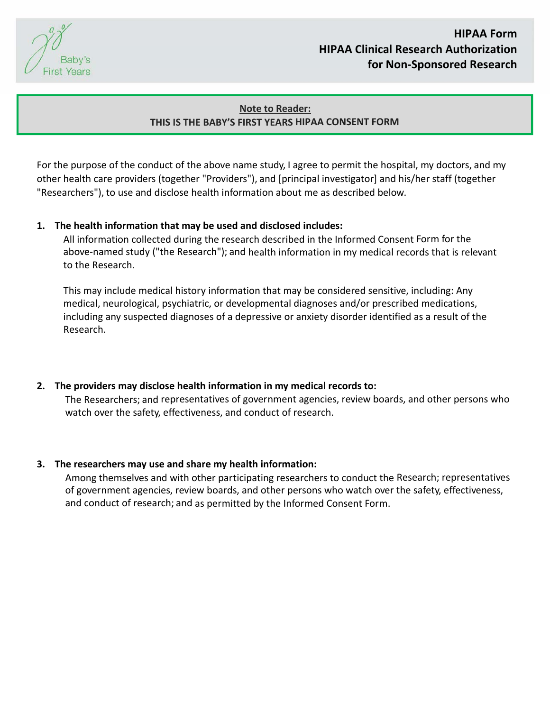Baby's **First Years** 

# **HIPAA Form HIPAA Clinical Research Authorization for Non‐Sponsored Research**

# **Note to Reader: THIS IS THE BABY'S FIRST YEARS HIPAA CONSENT FORM**

For the purpose of the conduct of the above name study, I agree to permit the hospital, my doctors, and my other health care providers (together "Providers"), and [principal investigator] and his/her staff (together "Researchers"), to use and disclose health information about me as described below.

## **1. The health information that may be used and disclosed includes:**

All information collected during the research described in the Informed Consent Form for the above‐named study ("the Research"); and health information in my medical records that is relevant to the Research.

This may include medical history information that may be considered sensitive, including: Any medical, neurological, psychiatric, or developmental diagnoses and/or prescribed medications, including any suspected diagnoses of a depressive or anxiety disorder identified as a result of the Research.

**2. The providers may disclose health information in my medical records to:** The Researchers; and representatives of government agencies, review boards, and other persons who watch over the safety, effectiveness, and conduct of research.

#### **3. The researchers may use and share my health information:**

Among themselves and with other participating researchers to conduct the Research; representatives of government agencies, review boards, and other persons who watch over the safety, effectiveness, and conduct of research; and as permitted by the Informed Consent Form.